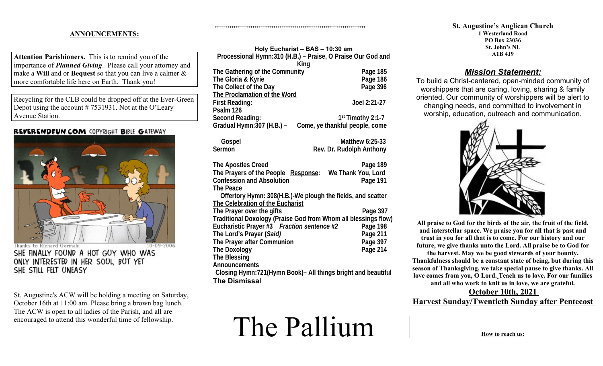### **ANNOUNCEMENTS:**

**Attention Parishioners.** This is to remind you of the importance of *Planned Giving*. Please call your attorney and make a **Will** and or **Bequest** so that you can live a calmer & more comfortable life here on Earth. Thank you!

Recycling for the CLB could be dropped off at the Ever-Green Depot using the account # 7531931. Not at the O'Leary Avenue Station.

## REVERENDFUN.COM COPYRIGHT BIBLE GATEWAY



Thanks to Richard Germain SHE FINALLY FOUND A HOT GUY WHO WAS ONLY INTERESTED IN HER SOUL, BUT YET SHE STILL FELT UNEASY

St. Augustine's ACW will be holding a meeting on Saturday, October 16th at 11:00 am. Please bring a brown bag lunch. The ACW is open to all ladies of the Parish, and all are encouraged to attend this wonderful time of fellowship.

| Holy Eucharist - BAS - 10:30 am                                |                                |  |
|----------------------------------------------------------------|--------------------------------|--|
| Processional Hymn:310 (H.B.) - Praise, O Praise Our God and    |                                |  |
| King                                                           |                                |  |
| <b>The Gathering of the Community</b>                          | Page 185                       |  |
| The Gloria & Kyrie                                             | Page 186                       |  |
| The Collect of the Day                                         | Page 396                       |  |
| The Proclamation of the Word                                   |                                |  |
| <b>First Reading:</b>                                          | Joel 2:21-27                   |  |
| Psalm 126                                                      |                                |  |
| <b>Second Reading:</b>                                         | $1st$ Timothy 2:1-7            |  |
| Gradual Hymn: 307 (H.B.) -                                     | Come, ye thankful people, come |  |
| Gospel                                                         | <b>Matthew 6:25-33</b>         |  |
| Sermon                                                         | Rev. Dr. Rudolph Anthony       |  |
| <b>The Apostles Creed</b>                                      | Page 189                       |  |
| The Prayers of the People Response:                            | We Thank You, Lord             |  |
| <b>Confession and Absolution</b>                               | Page 191                       |  |
| <b>The Peace</b>                                               |                                |  |
| Offertory Hymn: 308(H.B.)-We plough the fields, and scatter    |                                |  |
| The Celebration of the Eucharist                               |                                |  |
| The Prayer over the gifts                                      | Page 397                       |  |
| Traditional Doxology (Praise God from Whom all blessings flow) |                                |  |
| Eucharistic Prayer #3 Fraction sentence #2                     | Page 198                       |  |
| The Lord's Prayer (Said)                                       | Page 211                       |  |
| The Prayer after Communion                                     | Page 397                       |  |
| <b>The Doxology</b>                                            | Page 214                       |  |
| <b>The Blessing</b>                                            |                                |  |
| <b>Announcements</b>                                           |                                |  |
| Closing Hymn:721(Hymn Book)- All things bright and beautiful   |                                |  |
| <b>The Dismissal</b>                                           |                                |  |

++++++++++++++++++++++++++++++++++++++++++++++++++++++++++++++++++++++++

# The Pallium

#### **St. Augustine's Anglican Church 1 Westerland Road PO Box 23036 St. John's NL A1B 4J9**

# *Mission Statement:*

To build a Christ-centered, open-minded community of worshippers that are caring, loving, sharing & family oriented. Our community of worshippers will be alert to changing needs, and committed to involvement in worship, education, outreach and communication.



**All praise to God for the birds of the air, the fruit of the field, and interstellar space. We praise you for all that is past and trust in you for all that is to come. For our history and our future, we give thanks unto the Lord. All praise be to God for the harvest. May we be good stewards of your bounty. Thankfulness should be a constant state of being, but during this season of Thanksgiving, we take special pause to give thanks. All love comes from you, O Lord. Teach us to love. For our families**

**and all who work to knit us in love, we are grateful.**

## **October 10th, 2021 Harvest Sunday/Twentieth Sunday after Pentecost**

**How to reach us:**